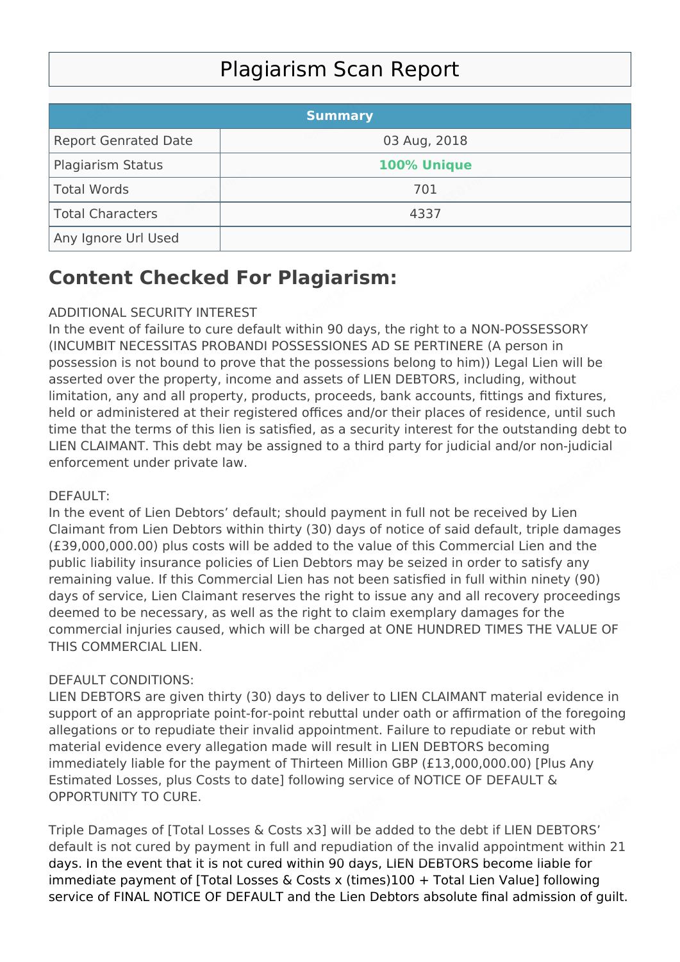# Plagiarism Scan Report

|                             | <b>Summary</b> |  |
|-----------------------------|----------------|--|
| <b>Report Genrated Date</b> | 03 Aug, 2018   |  |
| <b>Plagiarism Status</b>    | 100% Unique    |  |
| Total Words                 | 701            |  |
| Total Characters            | 4337           |  |
| Any Ignore Url Used         |                |  |

## **Content Checked For Plagiarism:**

### ADDITIONAL SECURITY INTEREST

In the event of failure to cure default within 90 days, the right to a NON-POSSESSORY (INCUMBIT NECESSITAS PROBANDI POSSESSIONES AD SE PERTINERE (A person in possession is not bound to prove that the possessions belong to him)) Legal Lien will be asserted over the property, income and assets of LIEN DEBTORS, including, without limitation, any and all property, products, proceeds, bank accounts, fittings and fixtures, held or administered at their registered offices and/or their places of residence, until such time that the terms of this lien is satisfied, as a security interest for the outstanding debt to LIEN CLAIMANT. This debt may be assigned to a third party for judicial and/or non-judicial enforcement under private law.

### DEFAULT:

In the event of Lien Debtors' default; should payment in full not be received by Lien Claimant from Lien Debtors within thirty (30) days of notice of said default, triple damages (£39,000,000.00) plus costs will be added to the value of this Commercial Lien and the public liability insurance policies of Lien Debtors may be seized in order to satisfy any remaining value. If this Commercial Lien has not been satisfied in full within ninety (90) days of service, Lien Claimant reserves the right to issue any and all recovery proceedings deemed to be necessary, as well as the right to claim exemplary damages for the commercial injuries caused, which will be charged at ONE HUNDRED TIMES THE VALUE OF THIS COMMERCIAL LIEN.

### DEFAULT CONDITIONS:

LIEN DEBTORS are given thirty (30) days to deliver to LIEN CLAIMANT material evidence in support of an appropriate point-for-point rebuttal under oath or affirmation of the foregoing allegations or to repudiate their invalid appointment. Failure to repudiate or rebut with material evidence every allegation made will result in LIEN DEBTORS becoming immediately liable for the payment of Thirteen Million GBP (£13,000,000.00) [Plus Any Estimated Losses, plus Costs to date] following service of NOTICE OF DEFAULT & OPPORTUNITY TO CURE.

Triple Damages of [Total Losses & Costs x3] will be added to the debt if LIEN DEBTORS' default is not cured by payment in full and repudiation of the invalid appointment within 21 days. In the event that it is not cured within 90 days, LIEN DEBTORS become liable for immediate payment of [Total Losses & Costs x (times)100 + Total Lien Value] following service of FINAL NOTICE OF DEFAULT and the Lien Debtors absolute final admission of guilt.